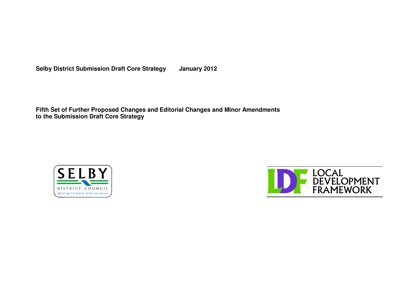**Selby District Submission Draft Core Strategy January 2012**

**Fifth Set of Further Proposed Changes and Editorial Changes and Minor Amendments to the Submission Draft Core Strategy**



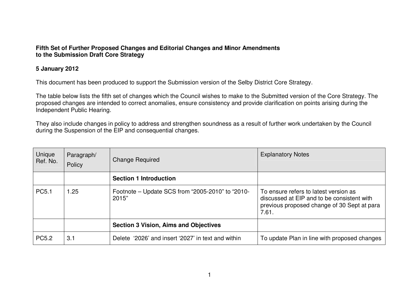#### **Fifth Set of Further Proposed Changes and Editorial Changes and Minor Amendments to the Submission Draft Core Strategy**

### **5 January 2012**

This document has been produced to support the Submission version of the Selby District Core Strategy.

The table below lists the fifth set of changes which the Council wishes to make to the Submitted version of the Core Strategy. The proposed changes are intended to correct anomalies, ensure consistency and provide clarification on points arising during the Independent Public Hearing.

They also include changes in policy to address and strengthen soundness as <sup>a</sup> result of further work undertaken by the Council during the Suspension of the EIP and consequential changes.

| Unique<br>Ref. No. | Paragraph/<br>Policy | <b>Change Required</b>                                    | <b>Explanatory Notes</b>                                                                                                                    |
|--------------------|----------------------|-----------------------------------------------------------|---------------------------------------------------------------------------------------------------------------------------------------------|
|                    |                      | <b>Section 1 Introduction</b>                             |                                                                                                                                             |
| PC5.1              | 1.25                 | Footnote – Update SCS from "2005-2010" to "2010-<br>2015" | To ensure refers to latest version as<br>discussed at EIP and to be consistent with<br>previous proposed change of 30 Sept at para<br>7.61. |
|                    |                      | <b>Section 3 Vision, Aims and Objectives</b>              |                                                                                                                                             |
| <b>PC5.2</b>       | 3.1                  | Delete '2026' and insert '2027' in text and within        | To update Plan in line with proposed changes                                                                                                |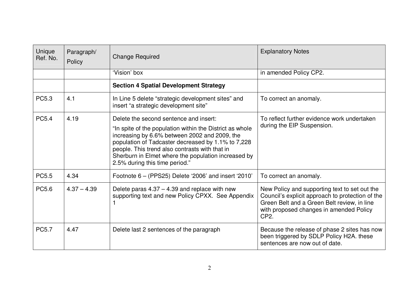| Unique<br>Ref. No. | Paragraph/<br>Policy | <b>Change Required</b>                                                                                                                                                                                                                                                                                                                               | <b>Explanatory Notes</b>                                                                                                                                                                                         |
|--------------------|----------------------|------------------------------------------------------------------------------------------------------------------------------------------------------------------------------------------------------------------------------------------------------------------------------------------------------------------------------------------------------|------------------------------------------------------------------------------------------------------------------------------------------------------------------------------------------------------------------|
|                    |                      | 'Vision' box                                                                                                                                                                                                                                                                                                                                         | in amended Policy CP2.                                                                                                                                                                                           |
|                    |                      | <b>Section 4 Spatial Development Strategy</b>                                                                                                                                                                                                                                                                                                        |                                                                                                                                                                                                                  |
| PC5.3              | 4.1                  | In Line 5 delete "strategic development sites" and<br>insert "a strategic development site"                                                                                                                                                                                                                                                          | To correct an anomaly.                                                                                                                                                                                           |
| <b>PC5.4</b>       | 4.19                 | Delete the second sentence and insert:<br>"In spite of the population within the District as whole<br>increasing by 6.6% between 2002 and 2009, the<br>population of Tadcaster decreased by 1.1% to 7,228<br>people. This trend also contrasts with that in<br>Sherburn in Elmet where the population increased by<br>2.5% during this time period." | To reflect further evidence work undertaken<br>during the EIP Suspension.                                                                                                                                        |
| <b>PC5.5</b>       | 4.34                 | Footnote $6 - (PPS25)$ Delete '2006' and insert '2010'                                                                                                                                                                                                                                                                                               | To correct an anomaly.                                                                                                                                                                                           |
| PC5.6              | $4.37 - 4.39$        | Delete paras $4.37 - 4.39$ and replace with new<br>supporting text and new Policy CPXX. See Appendix                                                                                                                                                                                                                                                 | New Policy and supporting text to set out the<br>Council's explicit approach to protection of the<br>Green Belt and a Green Belt review, in line<br>with proposed changes in amended Policy<br>CP <sub>2</sub> . |
| <b>PC5.7</b>       | 4.47                 | Delete last 2 sentences of the paragraph                                                                                                                                                                                                                                                                                                             | Because the release of phase 2 sites has now<br>been triggered by SDLP Policy H2A. these<br>sentences are now out of date.                                                                                       |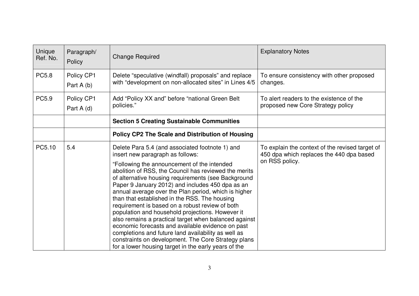| Unique<br>Ref. No. | Paragraph/<br>Policy      | <b>Change Required</b>                                                                                                                                                                                                                                                                                                                                                                                                                                                                                                                                                                                                                                                                                              | <b>Explanatory Notes</b>                                                                    |
|--------------------|---------------------------|---------------------------------------------------------------------------------------------------------------------------------------------------------------------------------------------------------------------------------------------------------------------------------------------------------------------------------------------------------------------------------------------------------------------------------------------------------------------------------------------------------------------------------------------------------------------------------------------------------------------------------------------------------------------------------------------------------------------|---------------------------------------------------------------------------------------------|
| <b>PC5.8</b>       | Policy CP1<br>Part $A(b)$ | Delete "speculative (windfall) proposals" and replace<br>with "development on non-allocated sites" in Lines 4/5                                                                                                                                                                                                                                                                                                                                                                                                                                                                                                                                                                                                     | To ensure consistency with other proposed<br>changes.                                       |
| PC5.9              | Policy CP1<br>Part A (d)  | Add "Policy XX and" before "national Green Belt<br>policies."                                                                                                                                                                                                                                                                                                                                                                                                                                                                                                                                                                                                                                                       | To alert readers to the existence of the<br>proposed new Core Strategy policy               |
|                    |                           | <b>Section 5 Creating Sustainable Communities</b>                                                                                                                                                                                                                                                                                                                                                                                                                                                                                                                                                                                                                                                                   |                                                                                             |
|                    |                           | Policy CP2 The Scale and Distribution of Housing                                                                                                                                                                                                                                                                                                                                                                                                                                                                                                                                                                                                                                                                    |                                                                                             |
| PC5.10             | 5.4                       | Delete Para 5.4 (and associated footnote 1) and<br>insert new paragraph as follows:                                                                                                                                                                                                                                                                                                                                                                                                                                                                                                                                                                                                                                 | To explain the context of the revised target of<br>450 dpa which replaces the 440 dpa based |
|                    |                           | "Following the announcement of the intended<br>abolition of RSS, the Council has reviewed the merits<br>of alternative housing requirements (see Background<br>Paper 9 January 2012) and includes 450 dpa as an<br>annual average over the Plan period, which is higher<br>than that established in the RSS. The housing<br>requirement is based on a robust review of both<br>population and household projections. However it<br>also remains a practical target when balanced against<br>economic forecasts and available evidence on past<br>completions and future land availability as well as<br>constraints on development. The Core Strategy plans<br>for a lower housing target in the early years of the | on RSS policy.                                                                              |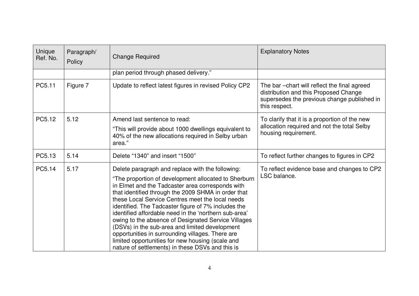| Unique<br>Ref. No. | Paragraph/<br>Policy | <b>Change Required</b>                                                                                                                                                                                                                                                                                                                                                                                                                                                                                                                                                                                                                                       | <b>Explanatory Notes</b>                                                                                                                               |
|--------------------|----------------------|--------------------------------------------------------------------------------------------------------------------------------------------------------------------------------------------------------------------------------------------------------------------------------------------------------------------------------------------------------------------------------------------------------------------------------------------------------------------------------------------------------------------------------------------------------------------------------------------------------------------------------------------------------------|--------------------------------------------------------------------------------------------------------------------------------------------------------|
|                    |                      | plan period through phased delivery."                                                                                                                                                                                                                                                                                                                                                                                                                                                                                                                                                                                                                        |                                                                                                                                                        |
| PC5.11             | Figure 7             | Update to reflect latest figures in revised Policy CP2                                                                                                                                                                                                                                                                                                                                                                                                                                                                                                                                                                                                       | The bar - chart will reflect the final agreed<br>distribution and this Proposed Change<br>supersedes the previous change published in<br>this respect. |
| PC5.12             | 5.12                 | Amend last sentence to read:<br>"This will provide about 1000 dwellings equivalent to<br>40% of the new allocations required in Selby urban<br>area."                                                                                                                                                                                                                                                                                                                                                                                                                                                                                                        | To clarify that it is a proportion of the new<br>allocation required and not the total Selby<br>housing requirement.                                   |
| PC5.13             | 5.14                 | Delete "1340" and insert "1500"                                                                                                                                                                                                                                                                                                                                                                                                                                                                                                                                                                                                                              | To reflect further changes to figures in CP2                                                                                                           |
| PC5.14             | 5.17                 | Delete paragraph and replace with the following:<br>"The proportion of development allocated to Sherburn<br>in Elmet and the Tadcaster area corresponds with<br>that identified through the 2009 SHMA in order that<br>these Local Service Centres meet the local needs<br>identified. The Tadcaster figure of 7% includes the<br>identified affordable need in the 'northern sub-area'<br>owing to the absence of Designated Service Villages<br>(DSVs) in the sub-area and limited development<br>opportunities in surrounding villages. There are<br>limited opportunities for new housing (scale and<br>nature of settlements) in these DSVs and this is | To reflect evidence base and changes to CP2<br>LSC balance.                                                                                            |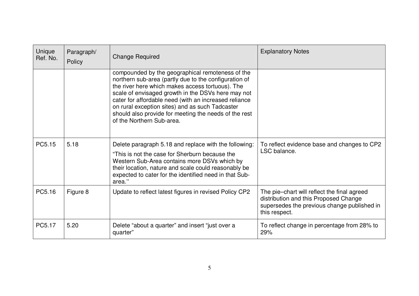| Unique<br>Ref. No. | Paragraph/<br>Policy | <b>Change Required</b>                                                                                                                                                                                                                                                                                                                                                                                                | <b>Explanatory Notes</b>                                                                                                                             |
|--------------------|----------------------|-----------------------------------------------------------------------------------------------------------------------------------------------------------------------------------------------------------------------------------------------------------------------------------------------------------------------------------------------------------------------------------------------------------------------|------------------------------------------------------------------------------------------------------------------------------------------------------|
|                    |                      | compounded by the geographical remoteness of the<br>northern sub-area (partly due to the configuration of<br>the river here which makes access tortuous). The<br>scale of envisaged growth in the DSVs here may not<br>cater for affordable need (with an increased reliance<br>on rural exception sites) and as such Tadcaster<br>should also provide for meeting the needs of the rest<br>of the Northern Sub-area. |                                                                                                                                                      |
| PC5.15             | 5.18                 | Delete paragraph 5.18 and replace with the following:<br>"This is not the case for Sherburn because the<br>Western Sub-Area contains more DSVs which by<br>their location, nature and scale could reasonably be<br>expected to cater for the identified need in that Sub-<br>area."                                                                                                                                   | To reflect evidence base and changes to CP2<br>LSC balance.                                                                                          |
| PC5.16             | Figure 8             | Update to reflect latest figures in revised Policy CP2                                                                                                                                                                                                                                                                                                                                                                | The pie-chart will reflect the final agreed<br>distribution and this Proposed Change<br>supersedes the previous change published in<br>this respect. |
| PC5.17             | 5.20                 | Delete "about a quarter" and insert "just over a<br>quarter"                                                                                                                                                                                                                                                                                                                                                          | To reflect change in percentage from 28% to<br>29%                                                                                                   |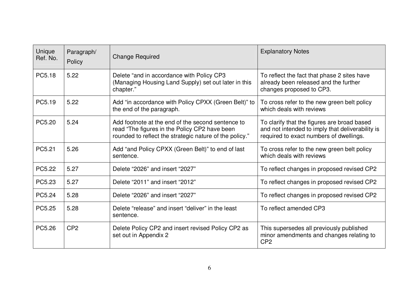| Unique<br>Ref. No. | Paragraph/<br>Policy | <b>Change Required</b>                                                                                                                                        | <b>Explanatory Notes</b>                                                                                                                   |
|--------------------|----------------------|---------------------------------------------------------------------------------------------------------------------------------------------------------------|--------------------------------------------------------------------------------------------------------------------------------------------|
| PC5.18             | 5.22                 | Delete "and in accordance with Policy CP3<br>(Managing Housing Land Supply) set out later in this<br>chapter."                                                | To reflect the fact that phase 2 sites have<br>already been released and the further<br>changes proposed to CP3.                           |
| PC5.19             | 5.22                 | Add "in accordance with Policy CPXX (Green Belt)" to<br>the end of the paragraph.                                                                             | To cross refer to the new green belt policy<br>which deals with reviews                                                                    |
| PC5.20             | 5.24                 | Add footnote at the end of the second sentence to<br>read "The figures in the Policy CP2 have been<br>rounded to reflect the strategic nature of the policy." | To clarify that the figures are broad based<br>and not intended to imply that deliverability is<br>required to exact numbers of dwellings. |
| PC5.21             | 5.26                 | Add "and Policy CPXX (Green Belt)" to end of last<br>sentence.                                                                                                | To cross refer to the new green belt policy<br>which deals with reviews                                                                    |
| PC5.22             | 5.27                 | Delete "2026" and insert "2027"                                                                                                                               | To reflect changes in proposed revised CP2                                                                                                 |
| PC5.23             | 5.27                 | Delete "2011" and insert "2012"                                                                                                                               | To reflect changes in proposed revised CP2                                                                                                 |
| PC5.24             | 5.28                 | Delete "2026" and insert "2027"                                                                                                                               | To reflect changes in proposed revised CP2                                                                                                 |
| PC5.25             | 5.28                 | Delete "release" and insert "deliver" in the least<br>sentence.                                                                                               | To reflect amended CP3                                                                                                                     |
| PC5.26             | CP <sub>2</sub>      | Delete Policy CP2 and insert revised Policy CP2 as<br>set out in Appendix 2                                                                                   | This supersedes all previously published<br>minor amendments and changes relating to<br>CP <sub>2</sub>                                    |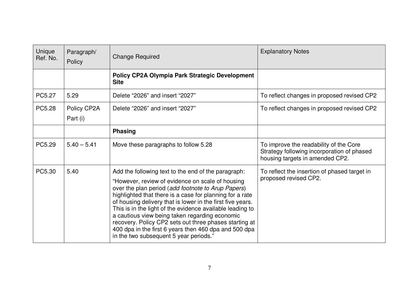| Unique<br>Ref. No. | Paragraph/<br>Policy    | <b>Change Required</b>                                                                                                                                                                                                                                                                                                                                                                                                                                                                                                                                              | <b>Explanatory Notes</b>                                                                                                |
|--------------------|-------------------------|---------------------------------------------------------------------------------------------------------------------------------------------------------------------------------------------------------------------------------------------------------------------------------------------------------------------------------------------------------------------------------------------------------------------------------------------------------------------------------------------------------------------------------------------------------------------|-------------------------------------------------------------------------------------------------------------------------|
|                    |                         | Policy CP2A Olympia Park Strategic Development<br><b>Site</b>                                                                                                                                                                                                                                                                                                                                                                                                                                                                                                       |                                                                                                                         |
| PC5.27             | 5.29                    | Delete "2026" and insert "2027"                                                                                                                                                                                                                                                                                                                                                                                                                                                                                                                                     | To reflect changes in proposed revised CP2                                                                              |
| PC5.28             | Policy CP2A<br>Part (i) | Delete "2026" and insert "2027"                                                                                                                                                                                                                                                                                                                                                                                                                                                                                                                                     | To reflect changes in proposed revised CP2                                                                              |
|                    |                         | <b>Phasing</b>                                                                                                                                                                                                                                                                                                                                                                                                                                                                                                                                                      |                                                                                                                         |
| PC5.29             | $5.40 - 5.41$           | Move these paragraphs to follow 5.28                                                                                                                                                                                                                                                                                                                                                                                                                                                                                                                                | To improve the readability of the Core<br>Strategy following incorporation of phased<br>housing targets in amended CP2. |
| PC5.30             | 5.40                    | Add the following text to the end of the paragraph:<br>"However, review of evidence on scale of housing<br>over the plan period (add footnote to Arup Papers)<br>highlighted that there is a case for planning for a rate<br>of housing delivery that is lower in the first five years.<br>This is in the light of the evidence available leading to<br>a cautious view being taken regarding economic<br>recovery. Policy CP2 sets out three phases starting at<br>400 dpa in the first 6 years then 460 dpa and 500 dpa<br>in the two subsequent 5 year periods." | To reflect the insertion of phased target in<br>proposed revised CP2.                                                   |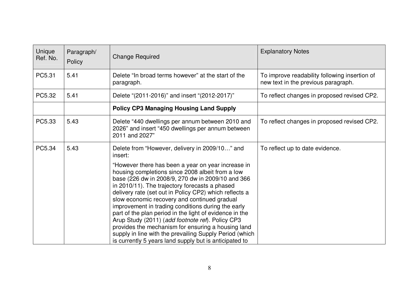| Unique<br>Ref. No. | Paragraph/<br>Policy | <b>Change Required</b>                                                                                                                                                                                                                                                                                                                                                                                                                                                                                                                                                                                                                                                                                                               | <b>Explanatory Notes</b>                                                             |
|--------------------|----------------------|--------------------------------------------------------------------------------------------------------------------------------------------------------------------------------------------------------------------------------------------------------------------------------------------------------------------------------------------------------------------------------------------------------------------------------------------------------------------------------------------------------------------------------------------------------------------------------------------------------------------------------------------------------------------------------------------------------------------------------------|--------------------------------------------------------------------------------------|
| PC5.31             | 5.41                 | Delete "In broad terms however" at the start of the<br>paragraph.                                                                                                                                                                                                                                                                                                                                                                                                                                                                                                                                                                                                                                                                    | To improve readability following insertion of<br>new text in the previous paragraph. |
| PC5.32             | 5.41                 | Delete "(2011-2016)" and insert "(2012-2017)"                                                                                                                                                                                                                                                                                                                                                                                                                                                                                                                                                                                                                                                                                        | To reflect changes in proposed revised CP2.                                          |
|                    |                      | <b>Policy CP3 Managing Housing Land Supply</b>                                                                                                                                                                                                                                                                                                                                                                                                                                                                                                                                                                                                                                                                                       |                                                                                      |
| PC5.33             | 5.43                 | Delete "440 dwellings per annum between 2010 and<br>2026" and insert "450 dwellings per annum between<br>2011 and 2027"                                                                                                                                                                                                                                                                                                                                                                                                                                                                                                                                                                                                              | To reflect changes in proposed revised CP2.                                          |
| PC5.34             | 5.43                 | Delete from "However, delivery in 2009/10" and<br>insert:<br>"However there has been a year on year increase in<br>housing completions since 2008 albeit from a low<br>base (226 dw in 2008/9, 270 dw in 2009/10 and 366<br>in 2010/11). The trajectory forecasts a phased<br>delivery rate (set out in Policy CP2) which reflects a<br>slow economic recovery and continued gradual<br>improvement in trading conditions during the early<br>part of the plan period in the light of evidence in the<br>Arup Study (2011) (add footnote ref). Policy CP3<br>provides the mechanism for ensuring a housing land<br>supply in line with the prevailing Supply Period (which<br>is currently 5 years land supply but is anticipated to | To reflect up to date evidence.                                                      |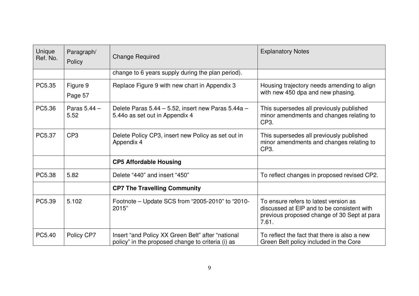| Unique<br>Ref. No. | Paragraph/<br>Policy | <b>Change Required</b>                                                                                 | <b>Explanatory Notes</b>                                                                                                                    |
|--------------------|----------------------|--------------------------------------------------------------------------------------------------------|---------------------------------------------------------------------------------------------------------------------------------------------|
|                    |                      | change to 6 years supply during the plan period).                                                      |                                                                                                                                             |
| PC5.35             | Figure 9<br>Page 57  | Replace Figure 9 with new chart in Appendix 3                                                          | Housing trajectory needs amending to align<br>with new 450 dpa and new phasing.                                                             |
| PC5.36             | Paras 5.44 -<br>5.52 | Delete Paras 5.44 - 5.52, insert new Paras 5.44a -<br>5.440 as set out in Appendix 4                   | This supersedes all previously published<br>minor amendments and changes relating to<br>CP3.                                                |
| PC5.37             | CP <sub>3</sub>      | Delete Policy CP3, insert new Policy as set out in<br>Appendix 4                                       | This supersedes all previously published<br>minor amendments and changes relating to<br>CP3.                                                |
|                    |                      | <b>CP5 Affordable Housing</b>                                                                          |                                                                                                                                             |
| PC5.38             | 5.82                 | Delete "440" and insert "450"                                                                          | To reflect changes in proposed revised CP2.                                                                                                 |
|                    |                      | <b>CP7 The Travelling Community</b>                                                                    |                                                                                                                                             |
| PC5.39             | 5.102                | Footnote – Update SCS from "2005-2010" to "2010-<br>2015"                                              | To ensure refers to latest version as<br>discussed at EIP and to be consistent with<br>previous proposed change of 30 Sept at para<br>7.61. |
| PC5.40             | Policy CP7           | Insert "and Policy XX Green Belt" after "national<br>policy" in the proposed change to criteria (i) as | To reflect the fact that there is also a new<br>Green Belt policy included in the Core                                                      |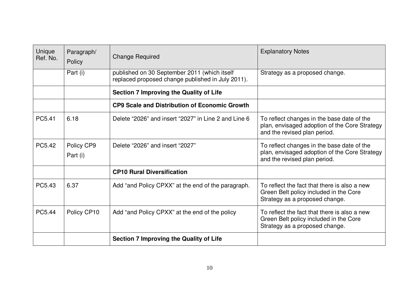| Unique<br>Ref. No. | Paragraph/<br>Policy   | <b>Change Required</b>                                                                            | <b>Explanatory Notes</b>                                                                                                    |
|--------------------|------------------------|---------------------------------------------------------------------------------------------------|-----------------------------------------------------------------------------------------------------------------------------|
|                    | Part (i)               | published on 30 September 2011 (which itself<br>replaced proposed change published in July 2011). | Strategy as a proposed change.                                                                                              |
|                    |                        | <b>Section 7 Improving the Quality of Life</b>                                                    |                                                                                                                             |
|                    |                        | <b>CP9 Scale and Distribution of Economic Growth</b>                                              |                                                                                                                             |
| PC5.41             | 6.18                   | Delete "2026" and insert "2027" in Line 2 and Line 6                                              | To reflect changes in the base date of the<br>plan, envisaged adoption of the Core Strategy<br>and the revised plan period. |
| PC5.42             | Policy CP9<br>Part (i) | Delete "2026" and insert "2027"                                                                   | To reflect changes in the base date of the<br>plan, envisaged adoption of the Core Strategy<br>and the revised plan period. |
|                    |                        | <b>CP10 Rural Diversification</b>                                                                 |                                                                                                                             |
| PC5.43             | 6.37                   | Add "and Policy CPXX" at the end of the paragraph.                                                | To reflect the fact that there is also a new<br>Green Belt policy included in the Core<br>Strategy as a proposed change.    |
| PC5.44             | Policy CP10            | Add "and Policy CPXX" at the end of the policy                                                    | To reflect the fact that there is also a new<br>Green Belt policy included in the Core<br>Strategy as a proposed change.    |
|                    |                        | <b>Section 7 Improving the Quality of Life</b>                                                    |                                                                                                                             |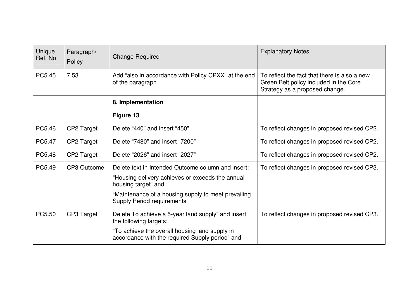| Unique<br>Ref. No. | Paragraph/<br>Policy | <b>Change Required</b>                                                                                                                                                                                                     | <b>Explanatory Notes</b>                                                                                                 |
|--------------------|----------------------|----------------------------------------------------------------------------------------------------------------------------------------------------------------------------------------------------------------------------|--------------------------------------------------------------------------------------------------------------------------|
| PC5.45             | 7.53                 | Add "also in accordance with Policy CPXX" at the end<br>of the paragraph                                                                                                                                                   | To reflect the fact that there is also a new<br>Green Belt policy included in the Core<br>Strategy as a proposed change. |
|                    |                      | 8. Implementation                                                                                                                                                                                                          |                                                                                                                          |
|                    |                      | Figure 13                                                                                                                                                                                                                  |                                                                                                                          |
| PC5.46             | CP2 Target           | Delete "440" and insert "450"                                                                                                                                                                                              | To reflect changes in proposed revised CP2.                                                                              |
| PC5.47             | CP2 Target           | Delete "7480" and insert "7200"                                                                                                                                                                                            | To reflect changes in proposed revised CP2.                                                                              |
| PC5.48             | CP2 Target           | Delete "2026" and insert "2027"                                                                                                                                                                                            | To reflect changes in proposed revised CP2.                                                                              |
| PC5.49             | CP3 Outcome          | Delete text in Intended Outcome column and insert:<br>"Housing delivery achieves or exceeds the annual<br>housing target" and<br>"Maintenance of a housing supply to meet prevailing<br><b>Supply Period requirements"</b> | To reflect changes in proposed revised CP3.                                                                              |
| PC5.50             | CP3 Target           | Delete To achieve a 5-year land supply" and insert<br>the following targets:<br>"To achieve the overall housing land supply in                                                                                             | To reflect changes in proposed revised CP3.                                                                              |
|                    |                      | accordance with the required Supply period" and                                                                                                                                                                            |                                                                                                                          |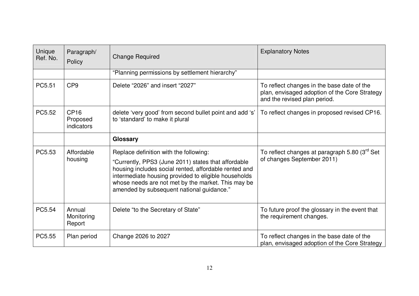| Unique<br>Ref. No. | Paragraph/<br>Policy                       | <b>Change Required</b>                                                                                                                                                                                                                                                                                            | <b>Explanatory Notes</b>                                                                                                    |
|--------------------|--------------------------------------------|-------------------------------------------------------------------------------------------------------------------------------------------------------------------------------------------------------------------------------------------------------------------------------------------------------------------|-----------------------------------------------------------------------------------------------------------------------------|
|                    |                                            | "Planning permissions by settlement hierarchy"                                                                                                                                                                                                                                                                    |                                                                                                                             |
| PC5.51             | CP <sub>9</sub>                            | Delete "2026" and insert "2027"                                                                                                                                                                                                                                                                                   | To reflect changes in the base date of the<br>plan, envisaged adoption of the Core Strategy<br>and the revised plan period. |
| PC5.52             | CP <sub>16</sub><br>Proposed<br>indicators | delete 'very good' from second bullet point and add 's'<br>to 'standard' to make it plural                                                                                                                                                                                                                        | To reflect changes in proposed revised CP16.                                                                                |
|                    |                                            | Glossary                                                                                                                                                                                                                                                                                                          |                                                                                                                             |
| PC5.53             | Affordable<br>housing                      | Replace definition with the following:<br>"Currently, PPS3 (June 2011) states that affordable<br>housing includes social rented, affordable rented and<br>intermediate housing provided to eligible households<br>whose needs are not met by the market. This may be<br>amended by subsequent national guidance." | To reflect changes at paragraph 5.80 (3 <sup>rd</sup> Set<br>of changes September 2011)                                     |
| PC5.54             | Annual<br>Monitoring<br>Report             | Delete "to the Secretary of State"                                                                                                                                                                                                                                                                                | To future proof the glossary in the event that<br>the requirement changes.                                                  |
| PC5.55             | Plan period                                | Change 2026 to 2027                                                                                                                                                                                                                                                                                               | To reflect changes in the base date of the<br>plan, envisaged adoption of the Core Strategy                                 |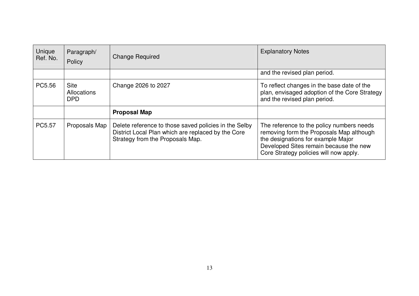| Unique<br>Ref. No. | Paragraph/<br>Policy                     | <b>Change Required</b>                                                                                                                          | <b>Explanatory Notes</b>                                                                                                                                                                                        |  |
|--------------------|------------------------------------------|-------------------------------------------------------------------------------------------------------------------------------------------------|-----------------------------------------------------------------------------------------------------------------------------------------------------------------------------------------------------------------|--|
|                    |                                          |                                                                                                                                                 | and the revised plan period.                                                                                                                                                                                    |  |
| PC5.56             | <b>Site</b><br>Allocations<br><b>DPD</b> | Change 2026 to 2027                                                                                                                             | To reflect changes in the base date of the<br>plan, envisaged adoption of the Core Strategy<br>and the revised plan period.                                                                                     |  |
|                    |                                          | <b>Proposal Map</b>                                                                                                                             |                                                                                                                                                                                                                 |  |
| PC5.57             | Proposals Map                            | Delete reference to those saved policies in the Selby<br>District Local Plan which are replaced by the Core<br>Strategy from the Proposals Map. | The reference to the policy numbers needs<br>removing form the Proposals Map although<br>the designations for example Major<br>Developed Sites remain because the new<br>Core Strategy policies will now apply. |  |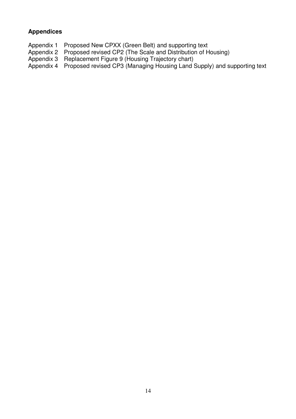# **Appendices**

Appendix 1 Proposed New CPXX (Green Belt) and supporting text

- Appendix 2 Proposed revised CP2 (The Scale and Distribution of Housing)<br>Appendix 3 Replacement Figure 9 (Housing Trajectory chart)
- Appendix 3 Replacement Figure 9 (Housing Trajectory chart)

Appendix 4 Proposed revised CP3 (Managing Housing Land Supply) and supporting text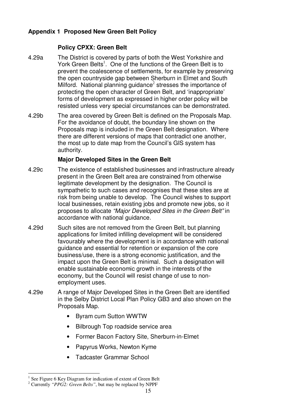## **Appendix 1 Proposed New Green Belt Policy**

### **Policy CPXX: Green Belt**

- 4.29a The District is covered by parts of both the West Yorkshire and York Green Belts<sup>1</sup>. One of the functions of the Green Belt is to prevent the coalescence of settlements, for example by preserving the open countryside gap between Sherburn in Elmet and South Milford. National planning guidance<sup>2</sup> stresses the importance of protecting the open character of Green Belt, and 'inappropriate' forms of development as expressed in higher order policy will be resisted unless very special circumstances can be demonstrated.
- 4.29b The area covered by Green Belt is defined on the Proposals Map. For the avoidance of doubt, the boundary line shown on the Proposals map is included in the Green Belt designation. Where there are different versions of maps that contradict one another, the most up to date map from the Council's GIS system has authority.

#### **Major Developed Sites in the Green Belt**

- 4.29c The existence of established businesses and infrastructure already present in the Green Belt area are constrained from otherwise legitimate development by the designation. The Council is sympathetic to such cases and recognises that these sites are at risk from being unable to develop. The Council wishes to support local businesses, retain existing jobs and promote new jobs, so it proposes to allocate *"Major Developed Sites in the Green Belt"* in accordance with national guidance.
- 4.29d Such sites are not removed from the Green Belt, but planning applications for limited infilling development will be considered favourably where the development is in accordance with national guidance and essential for retention or expansion of the core business/use, there is a strong economic justification, and the impact upon the Green Belt is minimal. Such a designation will enable sustainable economic growth in the interests of the economy, but the Council will resist change of use to nonemployment uses.
- 4.29e A range of Major Developed Sites in the Green Belt are identified in the Selby District Local Plan Policy GB3 and also shown on the Proposals Map.
	- Byram cum Sutton WWTW
	- Bilbrough Top roadside service area
	- Former Bacon Factory Site, Sherburn-in-Elmet
	- Papyrus Works, Newton Kyme
	- Tadcaster Grammar School

<sup>1</sup> See Figure 6 Key Diagram for indication of extent of Green Belt

<sup>2</sup> Currently *"PPG2: Green Belts"*, but may be replaced by NPPF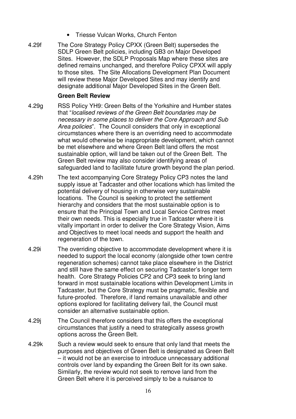- Triesse Vulcan Works, Church Fenton
- 4.29f The Core Strategy Policy CPXX (Green Belt) supersedes the SDLP Green Belt policies, including GB3 on Major Developed Sites. However, the SDLP Proposals Map where these sites are defined remains unchanged, and therefore Policy CPXX will apply to those sites. The Site Allocations Development Plan Document will review these Major Developed Sites and may identify and designate additional Major Developed Sites in the Green Belt.

#### **Green Belt Review**

- 4.29g RSS Policy YH9: Green Belts of the Yorkshire and Humber states that "*localised reviews of the Green Belt boundaries may be necessary in some places to deliver the Core Approach and Sub Area policies*". The Council considers that only in exceptional circumstances where there is an overriding need to accommodate what would otherwise be inappropriate development, which cannot be met elsewhere and where Green Belt land offers the most sustainable option, will land be taken out of the Green Belt. The Green Belt review may also consider identifying areas of safeguarded land to facilitate future growth beyond the plan period.
- 4.29h The text accompanying Core Strategy Policy CP3 notes the land supply issue at Tadcaster and other locations which has limited the potential delivery of housing in otherwise very sustainable locations. The Council is seeking to protect the settlement hierarchy and considers that the most sustainable option is to ensure that the Principal Town and Local Service Centres meet their own needs. This is especially true in Tadcaster where it is vitally important in order to deliver the Core Strategy Vision, Aims and Objectives to meet local needs and support the health and regeneration of the town.
- 4.29i The overriding objective to accommodate development where it is needed to support the local economy (alongside other town centre regeneration schemes) cannot take place elsewhere in the District and still have the same effect on securing Tadcaster's longer term health. Core Strategy Policies CP2 and CP3 seek to bring land forward in most sustainable locations within Development Limits in Tadcaster, but the Core Strategy must be pragmatic, flexible and future-proofed. Therefore, if land remains unavailable and other options explored for facilitating delivery fail, the Council must consider an alternative sustainable option.
- 4.29j The Council therefore considers that this offers the exceptional circumstances that justify a need to strategically assess growth options across the Green Belt.
- 4.29k Such a review would seek to ensure that only land that meets the purposes and objectives of Green Belt is designated as Green Belt – it would not be an exercise to introduce unnecessary additional controls over land by expanding the Green Belt for its own sake. Similarly, the review would not seek to remove land from the Green Belt where it is perceived simply to be a nuisance to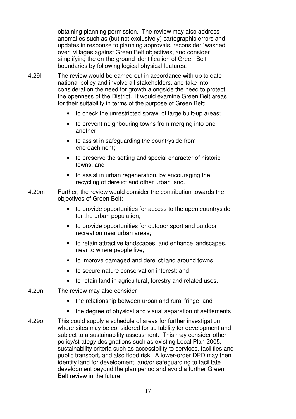obtaining planning permission. The review may also address anomalies such as (but not exclusively) cartographic errors and updates in response to planning approvals, reconsider "washed over" villages against Green Belt objectives, and consider simplifying the on-the-ground identification of Green Belt boundaries by following logical physical features.

- 4.29l The review would be carried out in accordance with up to date national policy and involve all stakeholders, and take into consideration the need for growth alongside the need to protect the openness of the District. It would examine Green Belt areas for their suitability in terms of the purpose of Green Belt;
	- to check the unrestricted sprawl of large built-up areas;
	- to prevent neighbouring towns from merging into one another;
	- to assist in safeguarding the countryside from encroachment;
	- to preserve the setting and special character of historic towns; and
	- to assist in urban regeneration, by encouraging the recycling of derelict and other urban land.
- 4.29m Further, the review would consider the contribution towards the objectives of Green Belt;
	- to provide opportunities for access to the open countryside for the urban population;
	- to provide opportunities for outdoor sport and outdoor recreation near urban areas;
	- to retain attractive landscapes, and enhance landscapes, near to where people live;
	- to improve damaged and derelict land around towns;
	- to secure nature conservation interest; and
	- to retain land in agricultural, forestry and related uses.
- 4.29n The review may also consider
	- the relationship between urban and rural fringe; and
	- the degree of physical and visual separation of settlements
- 4.29o This could supply a schedule of areas for further investigation where sites may be considered for suitability for development and subject to a sustainability assessment. This may consider other policy/strategy designations such as existing Local Plan 2005, sustainability criteria such as accessibility to services, facilities and public transport, and also flood risk. A lower-order DPD may then identify land for development, and/or safeguarding to facilitate development beyond the plan period and avoid a further Green Belt review in the future.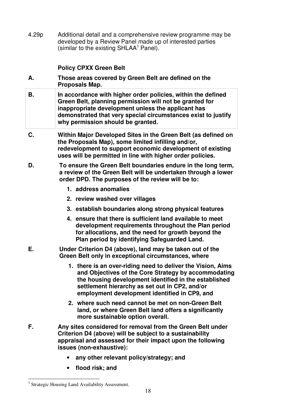4.29p Additional detail and a comprehensive review programme may be developed by a Review Panel made up of interested parties (similar to the existing SHLAA<sup>3</sup> Panel).

## **Policy CPXX Green Belt**

- **A. Those areas covered by Green Belt are defined on the Proposals Map.**
- **B. In accordance with higher order policies, within the defined Green Belt, planning permission will not be granted for inappropriate development unless the applicant has demonstrated that very special circumstances exist to justify why permission should be granted.**
- **C. Within Major Developed Sites in the Green Belt (as defined on the Proposals Map), some limited infilling and/or, redevelopment to support economic development of existing uses will be permitted in line with higher order policies.**
- **D. To ensure the Green Belt boundaries endure in the long term, a review of the Green Belt will be undertaken through a lower order DPD. The purposes of the review will be to:**
	- **1. address anomalies**
	- **2. review washed over villages**
	- **3. establish boundaries along strong physical features**
	- **4. ensure that there is sufficient land available to meet development requirements throughout the Plan period for allocations, and the need for growth beyond the Plan period by identifying Safeguarded Land.**
- **E. Under Criterion D4 (above), land may be taken out of the Green Belt only in exceptional circumstances, where**
	- **1. there is an over-riding need to deliver the Vision, Aims and Objectives of the Core Strategy by accommodating the housing development identified in the established settlement hierarchy as set out in CP2, and/or employment development identified in CP9, and**
	- **2. where such need cannot be met on non-Green Belt land, or where Green Belt land offers a significantly more sustainable option overall.**
- **F. Any sites considered for removal from the Green Belt under Criterion D4 (above) will be subject to a sustainability appraisal and assessed for their impact upon the following issues (non-exhaustive):**
	- **any other relevant policy/strategy; and**
	- **flood risk; and**

<sup>&</sup>lt;sup>3</sup> Strategic Housing Land Availability Assessment.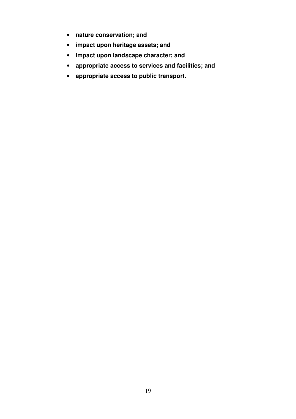- **nature conservation; and**
- **impact upon heritage assets; and**
- **impact upon landscape character; and**
- **appropriate access to services and facilities; and**
- **appropriate access to public transport.**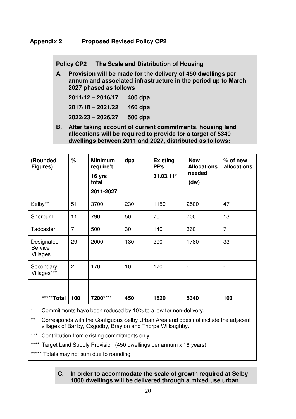**Policy CP2 The Scale and Distribution of Housing**

**A. Provision will be made for the delivery of 450 dwellings per annum and associated infrastructure in the period up to March 2027 phased as follows**

| $2011/12 - 2016/17$ | 400 dpa |
|---------------------|---------|
| $2017/18 - 2021/22$ | 460 dpa |
| 2022/23 - 2026/27   | 500 dpa |

**B. After taking account of current commitments, housing land allocations will be required to provide for a target of 5340 dwellings between 2011 and 2027, distributed as follows:**

| (Rounded<br>Figures)              | $\frac{1}{6}$  | <b>Minimum</b><br>require't<br>16 yrs<br>total<br>2011-2027 | dpa | <b>Existing</b><br><b>PPs</b><br>$31.03.11*$ | <b>New</b><br><b>Allocations</b><br>needed<br>(dw) | $%$ of new<br>allocations |
|-----------------------------------|----------------|-------------------------------------------------------------|-----|----------------------------------------------|----------------------------------------------------|---------------------------|
| Selby**                           | 51             | 3700                                                        | 230 | 1150                                         | 2500                                               | 47                        |
| Sherburn                          | 11             | 790                                                         | 50  | 70                                           | 700                                                | 13                        |
| Tadcaster                         | $\overline{7}$ | 500                                                         | 30  | 140                                          | 360                                                | $\overline{7}$            |
| Designated<br>Service<br>Villages | 29             | 2000                                                        | 130 | 290                                          | 1780                                               | 33                        |
| Secondary<br>Villages***          | $\overline{2}$ | 170                                                         | 10  | 170                                          | $\overline{\phantom{0}}$                           |                           |
|                                   |                |                                                             |     |                                              |                                                    |                           |
| *****Total                        | 100            | 7200****                                                    | 450 | 1820                                         | 5340                                               | 100                       |

Commitments have been reduced by 10% to allow for non-delivery.

- \*\* Corresponds with the Contiguous Selby Urban Area and does not include the adjacent villages of Barlby, Osgodby, Brayton and Thorpe Willoughby.
- Contribution from existing commitments only.

\*\*\*\* Target Land Supply Provision (450 dwellings per annum x 16 years)

\*\*\*\*\* Totals may not sum due to rounding

#### **C. In order to accommodate the scale of growth required at Selby 1000 dwellings will be delivered through a mixed use urban**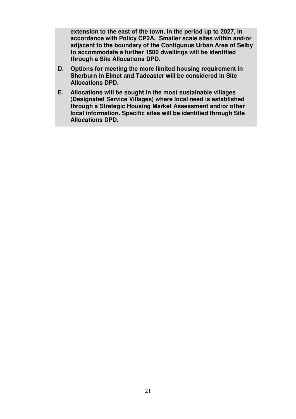**extension to the east of the town, in the period up to 2027, in accordance with Policy CP2A. Smaller scale sites within and/or adjacent to the boundary of the Contiguous Urban Area of Selby to accommodate a further 1500 dwellings will be identified through a Site Allocations DPD.**

- **D. Options for meeting the more limited housing requirement in Sherburn in Elmet and Tadcaster will be considered in Site Allocations DPD.**
- **E. Allocations will be sought in the most sustainable villages (Designated Service Villages) where local need is established through a Strategic Housing Market Assessment and/or other local information. Specific sites will be identified through Site Allocations DPD.**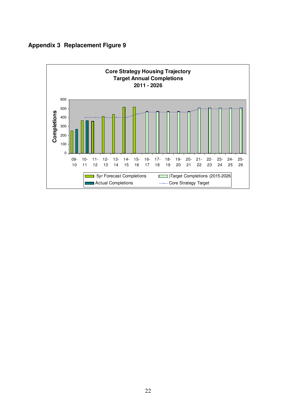

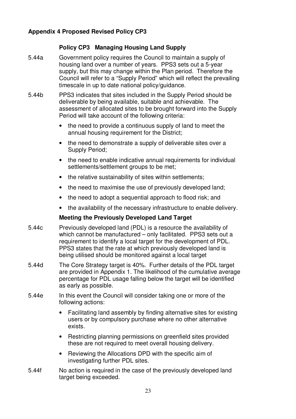## **Appendix 4 Proposed Revised Policy CP3**

#### **Policy CP3 Managing Housing Land Supply**

- 5.44a Government policy requires the Council to maintain a supply of housing land over a number of years. PPS3 sets out a 5-year supply, but this may change within the Plan period. Therefore the Council will refer to a "Supply Period" which will reflect the prevailing timescale in up to date national policy/guidance.
- 5.44b PPS3 indicates that sites included in the Supply Period should be deliverable by being available, suitable and achievable. The assessment of allocated sites to be brought forward into the Supply Period will take account of the following criteria:
	- the need to provide a continuous supply of land to meet the annual housing requirement for the District;
	- the need to demonstrate a supply of deliverable sites over a Supply Period;
	- the need to enable indicative annual requirements for individual settlements/settlement groups to be met;
	- the relative sustainability of sites within settlements;
	- the need to maximise the use of previously developed land;
	- the need to adopt a sequential approach to flood risk; and
	- the availability of the necessary infrastructure to enable delivery.

#### **Meeting the Previously Developed Land Target**

- 5.44c Previously developed land (PDL) is a resource the availability of which cannot be manufactured – only facilitated. PPS3 sets out a requirement to identify a local target for the development of PDL. PPS3 states that the rate at which previously developed land is being utilised should be monitored against a local target
- 5.44d The Core Strategy target is 40%. Further details of the PDL target are provided in Appendix 1. The likelihood of the cumulative average percentage for PDL usage falling below the target will be identified as early as possible.
- 5.44e In this event the Council will consider taking one or more of the following actions:
	- Facilitating land assembly by finding alternative sites for existing users or by compulsory purchase where no other alternative exists.
	- Restricting planning permissions on greenfield sites provided these are not required to meet overall housing delivery.
	- Reviewing the Allocations DPD with the specific aim of investigating further PDL sites.
- 5.44f No action is required in the case of the previously developed land target being exceeded.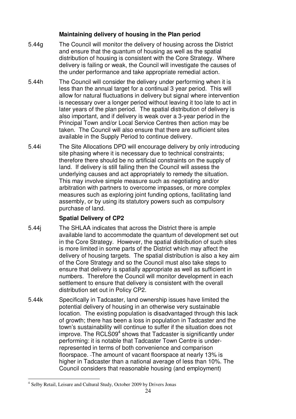#### **Maintaining delivery of housing in the Plan period**

- 5.44g The Council will monitor the delivery of housing across the District and ensure that the quantum of housing as well as the spatial distribution of housing is consistent with the Core Strategy. Where delivery is failing or weak, the Council will investigate the causes of the under performance and take appropriate remedial action.
- 5.44h The Council will consider the delivery under performing when it is less than the annual target for a continual 3 year period. This will allow for natural fluctuations in delivery but signal where intervention is necessary over a longer period without leaving it too late to act in later years of the plan period. The spatial distribution of delivery is also important, and if delivery is weak over a 3-year period in the Principal Town and/or Local Service Centres then action may be taken. The Council will also ensure that there are sufficient sites available in the Supply Period to continue delivery.
- 5.44i The Site Allocations DPD will encourage delivery by only introducing site phasing where it is necessary due to technical constraints; therefore there should be no artificial constraints on the supply of land. If delivery is still failing then the Council will assess the underlying causes and act appropriately to remedy the situation. This may involve simple measure such as negotiating and/or arbitration with partners to overcome impasses, or more complex measures such as exploring joint funding options, facilitating land assembly, or by using its statutory powers such as compulsory purchase of land.

#### **Spatial Delivery of CP2**

- 5.44j The SHLAA indicates that across the District there is ample available land to accommodate the quantum of development set out in the Core Strategy. However, the spatial distribution of such sites is more limited in some parts of the District which may affect the delivery of housing targets. The spatial distribution is also a key aim of the Core Strategy and so the Council must also take steps to ensure that delivery is spatially appropriate as well as sufficient in numbers. Therefore the Council will monitor development in each settlement to ensure that delivery is consistent with the overall distribution set out in Policy CP2.
- 5.44k Specifically in Tadcaster, land ownership issues have limited the potential delivery of housing in an otherwise very sustainable location. The existing population is disadvantaged through this lack of growth; there has been a loss in population in Tadcaster and the town's sustainability will continue to suffer if the situation does not improve. The RCLS09<sup>4</sup> shows that Tadcaster is significantly under performing: it is notable that Tadcaster Town Centre is underrepresented in terms of both convenience and comparison floorspace. The amount of vacant floorspace at nearly 13% is higher in Tadcaster than a national average of less than 10%. The Council considers that reasonable housing (and employment)

<sup>4</sup> Selby Retail, Leisure and Cultural Study, October 2009 by Drivers Jonas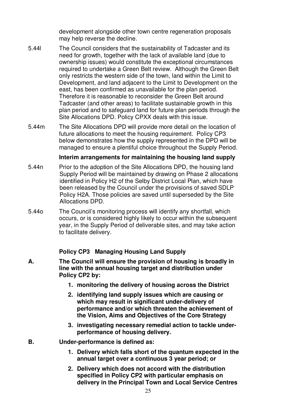development alongside other town centre regeneration proposals may help reverse the decline.

- 5.44l The Council considers that the sustainability of Tadcaster and its need for growth, together with the lack of available land (due to ownership issues) would constitute the exceptional circumstances required to undertake a Green Belt review. Although the Green Belt only restricts the western side of the town, land within the Limit to Development, and land adjacent to the Limit to Development on the east, has been confirmed as unavailable for the plan period. Therefore it is reasonable to reconsider the Green Belt around Tadcaster (and other areas) to facilitate sustainable growth in this plan period and to safeguard land for future plan periods through the Site Allocations DPD. Policy CPXX deals with this issue.
- 5.44m The Site Allocations DPD will provide more detail on the location of future allocations to meet the housing requirement. Policy CP3 below demonstrates how the supply represented in the DPD will be managed to ensure a plentiful choice throughout the Supply Period.

#### **Interim arrangements for maintaining the housing land supply**

- 5.44n Prior to the adoption of the Site Allocations DPD, the housing land Supply Period will be maintained by drawing on Phase 2 allocations identified in Policy H2 of the Selby District Local Plan, which have been released by the Council under the provisions of saved SDLP Policy H2A. Those policies are saved until superseded by the Site Allocations DPD.
- 5.44o The Council's monitoring process will identify any shortfall, which occurs, or is considered highly likely to occur within the subsequent year, in the Supply Period of deliverable sites, and may take action to facilitate delivery.

#### **Policy CP3 Managing Housing Land Supply**

- **A. The Council will ensure the provision of housing is broadly in line with the annual housing target and distribution under Policy CP2 by:**
	- **1. monitoring the delivery of housing across the District**
	- **2. identifying land supply issues which are causing or which may result in significant under-delivery of performance and/or which threaten the achievement of the Vision, Aims and Objectives of the Core Strategy**
	- **3. investigating necessary remedial action to tackle underperformance of housing delivery.**
- **B. Under-performance is defined as:**
	- **1. Delivery which falls short of the quantum expected in the annual target over a continuous 3 year period; or**
	- **2. Delivery which does not accord with the distribution specified in Policy CP2 with particular emphasis on delivery in the Principal Town and Local Service Centres**